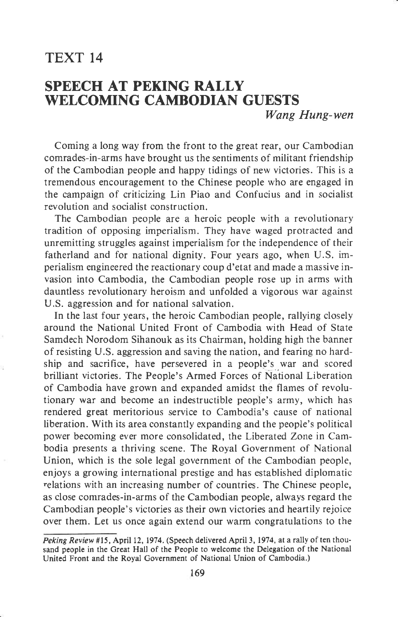## TEXT 14

## SPEECH AT PEKING RALLY WELCOMING CAMBODIAN GUESTS Wang Hung-wen

Coming a long way from the front to the great rear, our Cambodian comrades-in-arms have brought us the sentiments of militant friendship of the Cambodian people and happy tidings of new victories. This is <sup>a</sup> tremendous encouragement to the Chinese people who are engaged in the campaign of criticizing Lin Piao and Confucius and in socialist revolution and socialist construction.

The Cambodian people are a heroic people with a revolutionary tradition of opposing imperialism. They have waged protracted and unremitting struggles against imperialism for the independence of their fatherland and for national dignity. Four years ago, when U.S. imperialism engineered the reactionary coup d'etat and made a massive invasion into Cambodia, the Cambodian people rose up in arms with dauntless revolutionary heroism and unfolded a vigorous war against U.S. aggression and for national salvation.

In the last four years, the heroic Cambodian people, rallying closely around the National United Front of Cambodia with Head of State Samdech Norodom Sihanouk as its Chairman, holding high the banner of resisting U.S. aggression and saving the nation, and fearing no hardship and sacrifice, have persevered in a people's war and scored brilliant victories. The People's Armed Forces of National Liberation of Cambodia have grown and expanded amidst the flames of revolutionary war and become an indestructible people's army, which has rendered great meritorious service to Cambodia's cause of national liberation. With its area constantly expanding and the people's political power becoming ever more consolidated, the Liberated Zone in Cambodia presents a thriving scene. The Royal Government of National Union, which is the sole legal government of the Cambodian people, enjoys a growing international prestige and has established diplomatic relations with an increasing number of countries. The Chinese people, as close comrades-in-arms of the Cambodian people, always regard the Cambodian people's victories as their own victories and heartily rejoice over them. Let us once again extend our warm congratulations to the

Peking Review #15, April 12, 1974. (Speech delivered April 3, 1974, at a rally of ten thousand people in the Great Hall of the People to welcome the Delegation of the National United Front and the Royal Government of National Union of Cambodia.)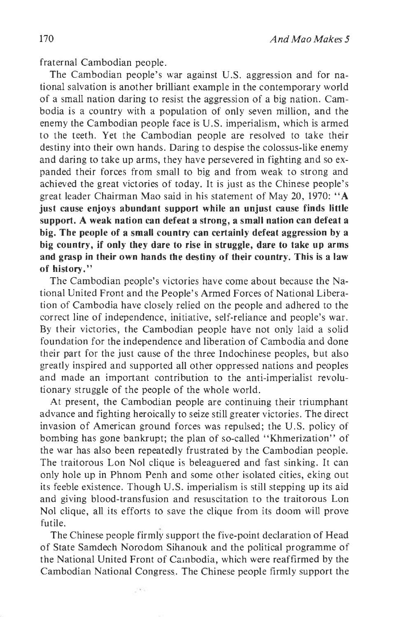fraternal Cambodian people.

The Cambodian people's war against U.S. aggression and for national salvation is another brilliant example in the contemporary world of a small nation daring to resist the aggression of a big nation. Cambodia is a country with a population of only seven million, and the enemy the Cambodian people face is U.S. imperialism, which is armed to the teeth. Yet the Cambodian people are resolved to take their destiny into their own hands. Daring to despise the colossus-like enemy and daring to take up arms, they have persevered in fighting and so expanded their forces from small to big and from weak to strong and achieved the great victories of today. It is just as the Chinese people's great leader Chairman Mao said in his statement of May 20, 1970: "A just cause enjoys abundant support while an unjust cause finds little support. A weak nation can defeat a strong, a small nation can defeat a big. The people of a small country can certainly defeat aggression by a big country, if only they dare to rise in struggle, dare to take up arms and grasp in their own hands the destiny of their country. This is a law of history."

The Cambodian people's victories have come about because the National United Front and the People's Armed Forces of National Liberation of Cambodia have closely relied on the people and adhered to the correct line of independence, initiative, self-reliance and people's war. By their victories, the Cambodian people have not only laid a solid foundation for the independence and liberation of Cambodia and done their part for the just cause of the three Indochinese peoples, but also greatly inspired and supported all other oppressed nations and peoples and made an important contribution to the anti-imperialist revolutionary struggle of the people of the whole world.

At present, the Cambodian people are continuing their triumphant advance and fighting heroically to seize still greater victories. The direct invasion of American ground forces was repulsed; the U,S. policy of bombing has gone bankrupt; the plan of so-called "Khmerization" of the war has also been repeatedly frustrated by the Cambodian people. The traitorous Lon Nol clique is beleaguered and fast sinking. It can only hole up in Phnom Penh and some other isolated cities, eking out its feeble existence. Though U.S. imperialism is still stepping up its aid and giving blood-transfusion and resuscitation to the traitorous Lon Nol clique, all its efforts to save the clique from its doom will prove futile.

The Chinese people firmly support the five-point declaration of Head of State Samdech Norodom Sihanouk and the political programme of the National United Front of Cainbodia, which were reaffirmed by the Cambodian National Congress. The Chinese people firmly support the

 $1.0\%$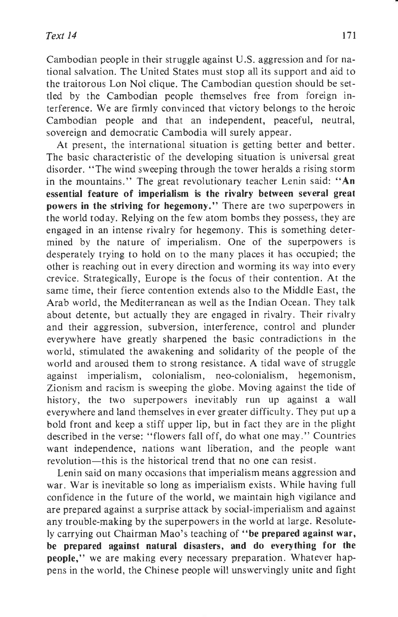Cambodian people in their struggle against U.S. aggression and for national salvation. The United States must stop all its support and aid to the traitorous Lon Nol clique. The Cambodian question should be settled by the Cambodian people themselves free from foreign interference. We are firmly convinced that victory belongs to the heroic Cambodian people and that an independent, peaceful, neutral, sovereign and democratic Cambodia will surely appear.

At present, the international situation is getting better and better. The basic characteristic of the developing situation is universal great disorder. "The wind sweeping through the tower heralds a rising storm in the mountains." The great revolutionary teacher Lenin said: "An essential feature of imperialism is the rivalry between several great powers in the striving for hegemony." There are two superpowers in the world today. Relying on the few atom bombs they possess, they are engaged in an intense rivalry for hegemony. This is something determined by the nature of imperialism. One of the superpowers is desperately trying to hold on to the many places it has occupied; the other is reaching out in every direction and worming its way into every crevice. Strategically, Europe is the focus of their contention. At the same time, their fierce contention extends also to the Middle East, the Arab world, the Mediterranean as well as the Indian Ocean. They talk about detente, but actually they are engaged in rivalry. Their rivalry and their aggression, subversion, interference, control and plunder everywhere have greatly sharpened the basic contradictions in the world, stimulated the awakening and solidarity of the people of the world and aroused them to strong resistance. A tidal wave of struggle against imperialism, colonialism, neo-colonialism, hegemonism, Zionism and racism is sweeping the globe. Moving against the tide of history, the two superpowers inevitably run up against a wall everywhere and land themselves in ever greater difficulty. They put up <sup>a</sup> bold front and keep a stiff upper lip, but in fact they are in the plight described in the verse: "flowers fall off, do what one may." Countries want independence, nations want liberation, and the people want revolution-this is the historical trend that no one can resist.

Lenin said on many occasions that imperialism means aggression and war. War is inevitable so long as imperialism exists. While having full confidence in the future of the world, we maintain high vigilance and are prepared against a surprise attack by social-imperialism and against any trouble-making by the superpowers in the world at large. Resolutely carrying out Chairman Mao's teaching of "be prepared against war, be prepared against natural disasters, and do everything for the people," we are making every necessary preparation. Whatever happens in the world, the Chinese people will unswervingly unite and fight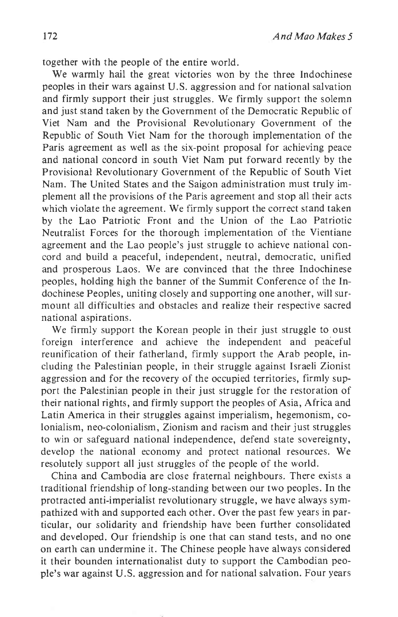together with the people of the entire world.

We warmly hail the great victories won by the three Indochinese peoples in their wars against U.S. aggression and for national salvation and firmly support their just struggles. We firmly support the solemn and just stand taken by the Covernment of the Democratic Republic of Viet Nam and the Provisional Revolutionary Government of the Republic of South Viet Nam for the thorough implementation of the Paris agreement as well as the six-point proposal for achieving peace and national concord in south Viet Nam put forward recently by the Provisional Revolutionary Government of the Republic of South Viet Nam. The United States and the Saigon administration must truly implement all the provisions of the Paris agreement and stop all their acts which violate the agreement. We firmly support the correct stand taken by the Lao Patriotic Front and the Union of the Lao Patriotic Neutralist Forces for the thorough implementation of the Vientiane agreement and the Lao people's just struggle to achieve national concord and build a peaceful, independent, neutral, democratic, unified and prosperous Laos. We are convinced that the three Indochinese peoples, holding high the banner of the Summit Conference of the Indochinese Peoples, uniting closely and supporting one another, will surmount all difficulties and obstacles and realize their respective sacred national aspirations.

We firmly support the Korean people in their just struggle to oust foreign interference and achieve the independent and peaceful reunification of their fatherland, firmly support the Arab people, including the Palestinian people, in their struggle against Israeli Zionist aggression and for the recovery of the occupied territories, firmly support the Palestinian people in their just struggle for the restoration of their national rights, and firmly support the peoples of Asia, Africa and Latin America in their struggles against imperialism, hegemonism, colonialism, neo-colonialism, Zionism and racism and their just struggles to win or safeguard national independence, defend state sovereignty, develop the national economy and protect national resources. We resolutely support all just struggles of the people of the world.

China and Cambodia are close fraternal neighbours. There exists a traditional friendship of long-standing between our two peoples. In the protracted anti-imperialist revolutionary struggle, we have always sympathized with and supported each other. Over the past few years in particular, our solidarity and friendship have been further consolidated and developed. Our friendship is one that can stand tests, and no one on earth can undermine it. The Chinese people have always considered it their bounden internationalist duty to support the Cambodian people's war against U.S. aggression and for national salvation. Four years